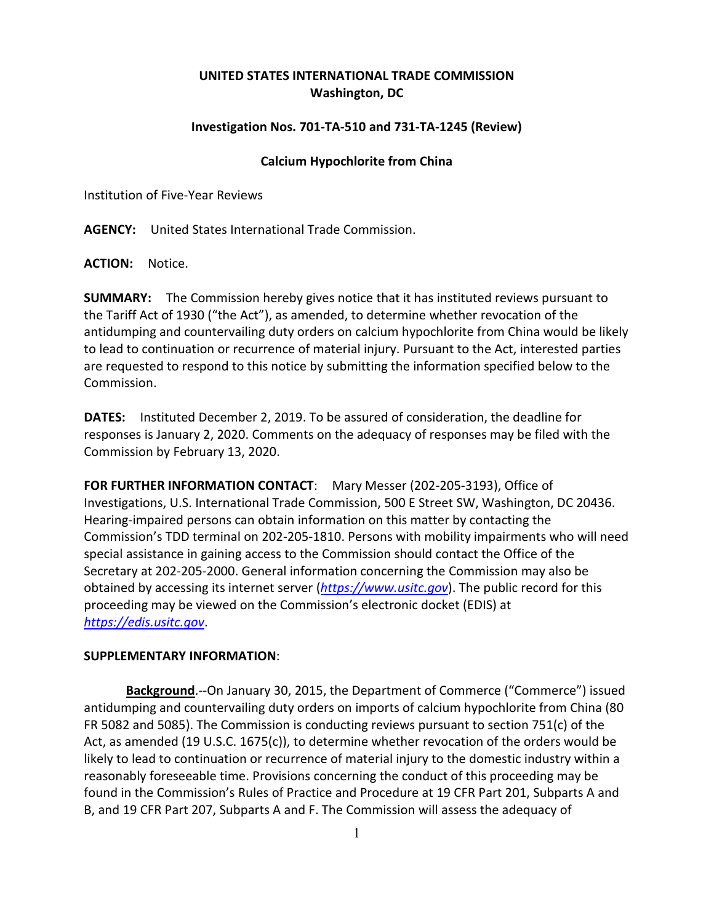## **UNITED STATES INTERNATIONAL TRADE COMMISSION Washington, DC**

## **Investigation Nos. 701-TA-510 and 731-TA-1245 (Review)**

## **Calcium Hypochlorite from China**

Institution of Five-Year Reviews

**AGENCY:** United States International Trade Commission.

**ACTION:** Notice.

**SUMMARY:** The Commission hereby gives notice that it has instituted reviews pursuant to the Tariff Act of 1930 ("the Act"), as amended, to determine whether revocation of the antidumping and countervailing duty orders on calcium hypochlorite from China would be likely to lead to continuation or recurrence of material injury. Pursuant to the Act, interested parties are requested to respond to this notice by submitting the information specified below to the Commission.

**DATES:** Instituted December 2, 2019. To be assured of consideration, the deadline for responses is January 2, 2020. Comments on the adequacy of responses may be filed with the Commission by February 13, 2020.

**FOR FURTHER INFORMATION CONTACT**: Mary Messer (202-205-3193), Office of Investigations, U.S. International Trade Commission, 500 E Street SW, Washington, DC 20436. Hearing-impaired persons can obtain information on this matter by contacting the Commission's TDD terminal on 202-205-1810. Persons with mobility impairments who will need special assistance in gaining access to the Commission should contact the Office of the Secretary at 202-205-2000. General information concerning the Commission may also be obtained by accessing its internet server (*[https://www.usitc.gov](https://www.usitc.gov/)*). The public record for this proceeding may be viewed on the Commission's electronic docket (EDIS) at *[https://edis.usitc.gov](https://edis.usitc.gov/)*.

## **SUPPLEMENTARY INFORMATION**:

**Background**.--On January 30, 2015, the Department of Commerce ("Commerce") issued antidumping and countervailing duty orders on imports of calcium hypochlorite from China (80 FR 5082 and 5085). The Commission is conducting reviews pursuant to section 751(c) of the Act, as amended (19 U.S.C. 1675(c)), to determine whether revocation of the orders would be likely to lead to continuation or recurrence of material injury to the domestic industry within a reasonably foreseeable time. Provisions concerning the conduct of this proceeding may be found in the Commission's Rules of Practice and Procedure at 19 CFR Part 201, Subparts A and B, and 19 CFR Part 207, Subparts A and F. The Commission will assess the adequacy of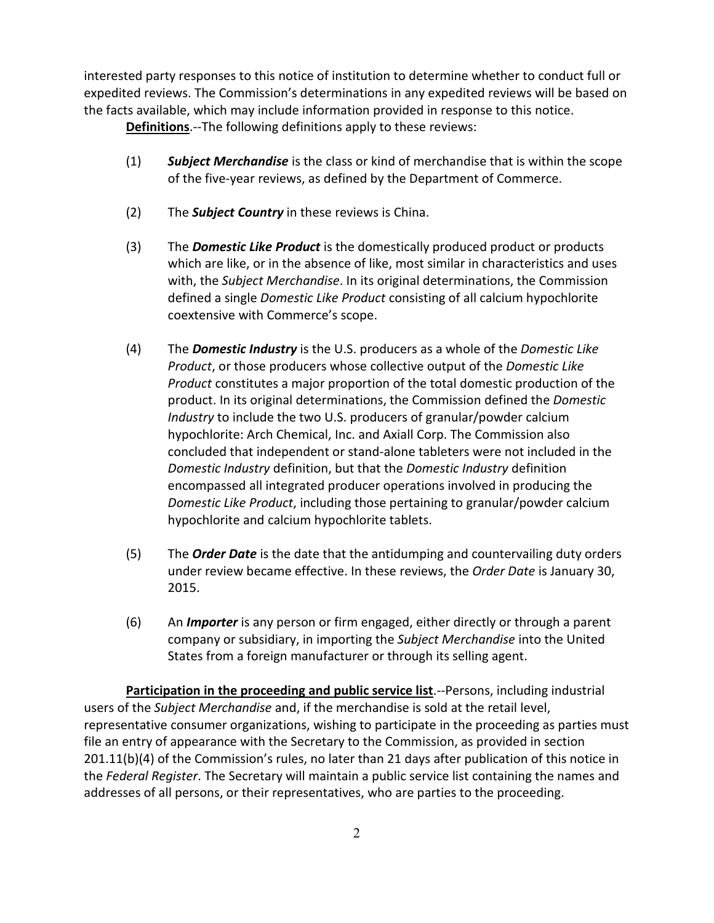interested party responses to this notice of institution to determine whether to conduct full or expedited reviews. The Commission's determinations in any expedited reviews will be based on the facts available, which may include information provided in response to this notice.

**Definitions**.--The following definitions apply to these reviews:

- (1) *Subject Merchandise* is the class or kind of merchandise that is within the scope of the five-year reviews, as defined by the Department of Commerce.
- (2) The *Subject Country* in these reviews is China.
- (3) The *Domestic Like Product* is the domestically produced product or products which are like, or in the absence of like, most similar in characteristics and uses with, the *Subject Merchandise*. In its original determinations, the Commission defined a single *Domestic Like Product* consisting of all calcium hypochlorite coextensive with Commerce's scope.
- (4) The *Domestic Industry* is the U.S. producers as a whole of the *Domestic Like Product*, or those producers whose collective output of the *Domestic Like Product* constitutes a major proportion of the total domestic production of the product. In its original determinations, the Commission defined the *Domestic Industry* to include the two U.S. producers of granular/powder calcium hypochlorite: Arch Chemical, Inc. and Axiall Corp. The Commission also concluded that independent or stand-alone tableters were not included in the *Domestic Industry* definition, but that the *Domestic Industry* definition encompassed all integrated producer operations involved in producing the *Domestic Like Product*, including those pertaining to granular/powder calcium hypochlorite and calcium hypochlorite tablets.
- (5) The *Order Date* is the date that the antidumping and countervailing duty orders under review became effective. In these reviews, the *Order Date* is January 30, 2015.
- (6) An *Importer* is any person or firm engaged, either directly or through a parent company or subsidiary, in importing the *Subject Merchandise* into the United States from a foreign manufacturer or through its selling agent.

**Participation in the proceeding and public service list**.--Persons, including industrial users of the *Subject Merchandise* and, if the merchandise is sold at the retail level, representative consumer organizations, wishing to participate in the proceeding as parties must file an entry of appearance with the Secretary to the Commission, as provided in section 201.11(b)(4) of the Commission's rules, no later than 21 days after publication of this notice in the *Federal Register*. The Secretary will maintain a public service list containing the names and addresses of all persons, or their representatives, who are parties to the proceeding.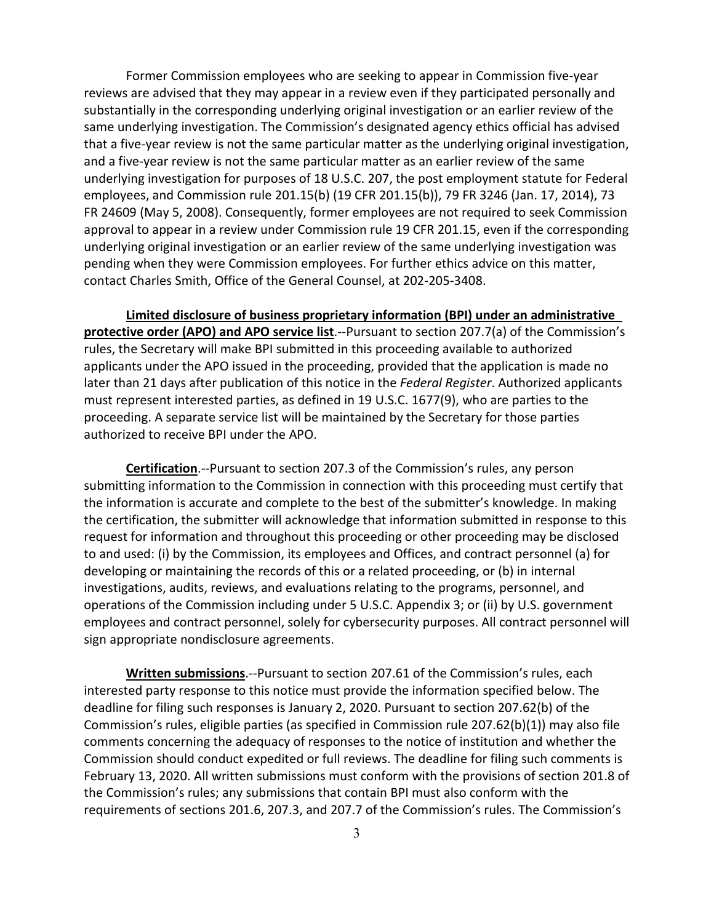Former Commission employees who are seeking to appear in Commission five-year reviews are advised that they may appear in a review even if they participated personally and substantially in the corresponding underlying original investigation or an earlier review of the same underlying investigation. The Commission's designated agency ethics official has advised that a five-year review is not the same particular matter as the underlying original investigation, and a five-year review is not the same particular matter as an earlier review of the same underlying investigation for purposes of 18 U.S.C. 207, the post employment statute for Federal employees, and Commission rule 201.15(b) (19 CFR 201.15(b)), 79 FR 3246 (Jan. 17, 2014), 73 FR 24609 (May 5, 2008). Consequently, former employees are not required to seek Commission approval to appear in a review under Commission rule 19 CFR 201.15, even if the corresponding underlying original investigation or an earlier review of the same underlying investigation was pending when they were Commission employees. For further ethics advice on this matter, contact Charles Smith, Office of the General Counsel, at 202-205-3408.

**Limited disclosure of business proprietary information (BPI) under an administrative protective order (APO) and APO service list**.--Pursuant to section 207.7(a) of the Commission's rules, the Secretary will make BPI submitted in this proceeding available to authorized applicants under the APO issued in the proceeding, provided that the application is made no later than 21 days after publication of this notice in the *Federal Register*. Authorized applicants must represent interested parties, as defined in 19 U.S.C. 1677(9), who are parties to the proceeding. A separate service list will be maintained by the Secretary for those parties authorized to receive BPI under the APO.

**Certification**.--Pursuant to section 207.3 of the Commission's rules, any person submitting information to the Commission in connection with this proceeding must certify that the information is accurate and complete to the best of the submitter's knowledge. In making the certification, the submitter will acknowledge that information submitted in response to this request for information and throughout this proceeding or other proceeding may be disclosed to and used: (i) by the Commission, its employees and Offices, and contract personnel (a) for developing or maintaining the records of this or a related proceeding, or (b) in internal investigations, audits, reviews, and evaluations relating to the programs, personnel, and operations of the Commission including under 5 U.S.C. Appendix 3; or (ii) by U.S. government employees and contract personnel, solely for cybersecurity purposes. All contract personnel will sign appropriate nondisclosure agreements.

**Written submissions**.--Pursuant to section 207.61 of the Commission's rules, each interested party response to this notice must provide the information specified below. The deadline for filing such responses is January 2, 2020. Pursuant to section 207.62(b) of the Commission's rules, eligible parties (as specified in Commission rule 207.62(b)(1)) may also file comments concerning the adequacy of responses to the notice of institution and whether the Commission should conduct expedited or full reviews. The deadline for filing such comments is February 13, 2020. All written submissions must conform with the provisions of section 201.8 of the Commission's rules; any submissions that contain BPI must also conform with the requirements of sections 201.6, 207.3, and 207.7 of the Commission's rules. The Commission's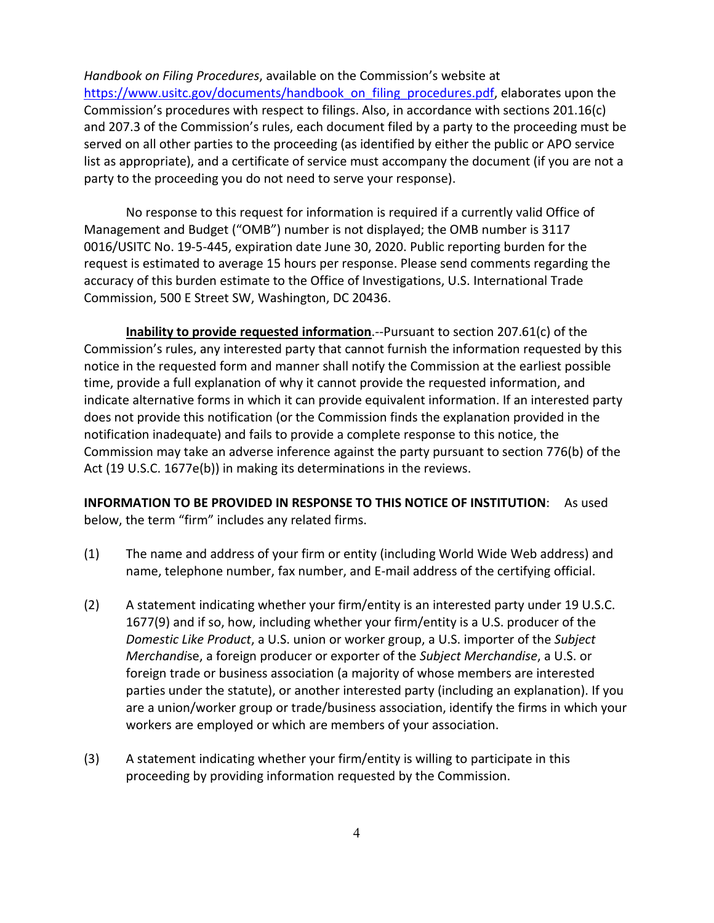*Handbook on Filing Procedures*, available on the Commission's website at [https://www.usitc.gov/documents/handbook\\_on\\_filing\\_procedures.pdf,](https://www.usitc.gov/documents/handbook_on_filing_procedures.pdf) elaborates upon the Commission's procedures with respect to filings. Also, in accordance with sections 201.16(c) and 207.3 of the Commission's rules, each document filed by a party to the proceeding must be served on all other parties to the proceeding (as identified by either the public or APO service list as appropriate), and a certificate of service must accompany the document (if you are not a party to the proceeding you do not need to serve your response).

No response to this request for information is required if a currently valid Office of Management and Budget ("OMB") number is not displayed; the OMB number is 3117 0016/USITC No. 19-5-445, expiration date June 30, 2020. Public reporting burden for the request is estimated to average 15 hours per response. Please send comments regarding the accuracy of this burden estimate to the Office of Investigations, U.S. International Trade Commission, 500 E Street SW, Washington, DC 20436.

**Inability to provide requested information**.--Pursuant to section 207.61(c) of the Commission's rules, any interested party that cannot furnish the information requested by this notice in the requested form and manner shall notify the Commission at the earliest possible time, provide a full explanation of why it cannot provide the requested information, and indicate alternative forms in which it can provide equivalent information. If an interested party does not provide this notification (or the Commission finds the explanation provided in the notification inadequate) and fails to provide a complete response to this notice, the Commission may take an adverse inference against the party pursuant to section 776(b) of the Act (19 U.S.C. 1677e(b)) in making its determinations in the reviews.

**INFORMATION TO BE PROVIDED IN RESPONSE TO THIS NOTICE OF INSTITUTION**: As used below, the term "firm" includes any related firms.

- (1) The name and address of your firm or entity (including World Wide Web address) and name, telephone number, fax number, and E-mail address of the certifying official.
- (2) A statement indicating whether your firm/entity is an interested party under 19 U.S.C. 1677(9) and if so, how, including whether your firm/entity is a U.S. producer of the *Domestic Like Product*, a U.S. union or worker group, a U.S. importer of the *Subject Merchandi*se, a foreign producer or exporter of the *Subject Merchandise*, a U.S. or foreign trade or business association (a majority of whose members are interested parties under the statute), or another interested party (including an explanation). If you are a union/worker group or trade/business association, identify the firms in which your workers are employed or which are members of your association.
- (3) A statement indicating whether your firm/entity is willing to participate in this proceeding by providing information requested by the Commission.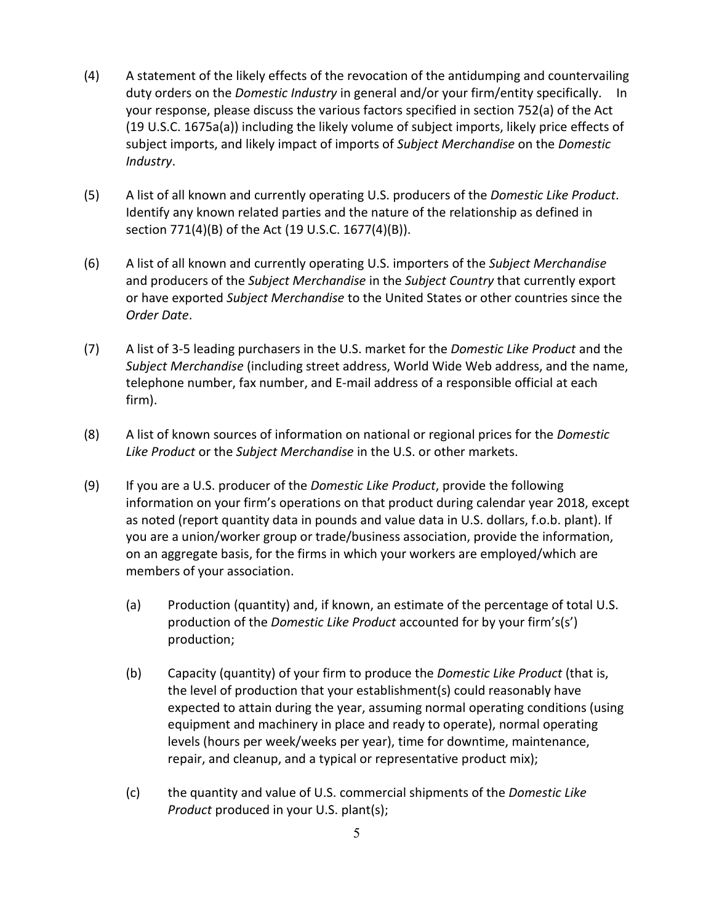- (4) A statement of the likely effects of the revocation of the antidumping and countervailing duty orders on the *Domestic Industry* in general and/or your firm/entity specifically. In your response, please discuss the various factors specified in section 752(a) of the Act (19 U.S.C. 1675a(a)) including the likely volume of subject imports, likely price effects of subject imports, and likely impact of imports of *Subject Merchandise* on the *Domestic Industry*.
- (5) A list of all known and currently operating U.S. producers of the *Domestic Like Product*. Identify any known related parties and the nature of the relationship as defined in section 771(4)(B) of the Act (19 U.S.C. 1677(4)(B)).
- (6) A list of all known and currently operating U.S. importers of the *Subject Merchandise* and producers of the *Subject Merchandise* in the *Subject Country* that currently export or have exported *Subject Merchandise* to the United States or other countries since the *Order Date*.
- (7) A list of 3-5 leading purchasers in the U.S. market for the *Domestic Like Product* and the *Subject Merchandise* (including street address, World Wide Web address, and the name, telephone number, fax number, and E-mail address of a responsible official at each firm).
- (8) A list of known sources of information on national or regional prices for the *Domestic Like Product* or the *Subject Merchandise* in the U.S. or other markets.
- (9) If you are a U.S. producer of the *Domestic Like Product*, provide the following information on your firm's operations on that product during calendar year 2018, except as noted (report quantity data in pounds and value data in U.S. dollars, f.o.b. plant). If you are a union/worker group or trade/business association, provide the information, on an aggregate basis, for the firms in which your workers are employed/which are members of your association.
	- (a) Production (quantity) and, if known, an estimate of the percentage of total U.S. production of the *Domestic Like Product* accounted for by your firm's(s') production;
	- (b) Capacity (quantity) of your firm to produce the *Domestic Like Product* (that is, the level of production that your establishment(s) could reasonably have expected to attain during the year, assuming normal operating conditions (using equipment and machinery in place and ready to operate), normal operating levels (hours per week/weeks per year), time for downtime, maintenance, repair, and cleanup, and a typical or representative product mix);
	- (c) the quantity and value of U.S. commercial shipments of the *Domestic Like Product* produced in your U.S. plant(s);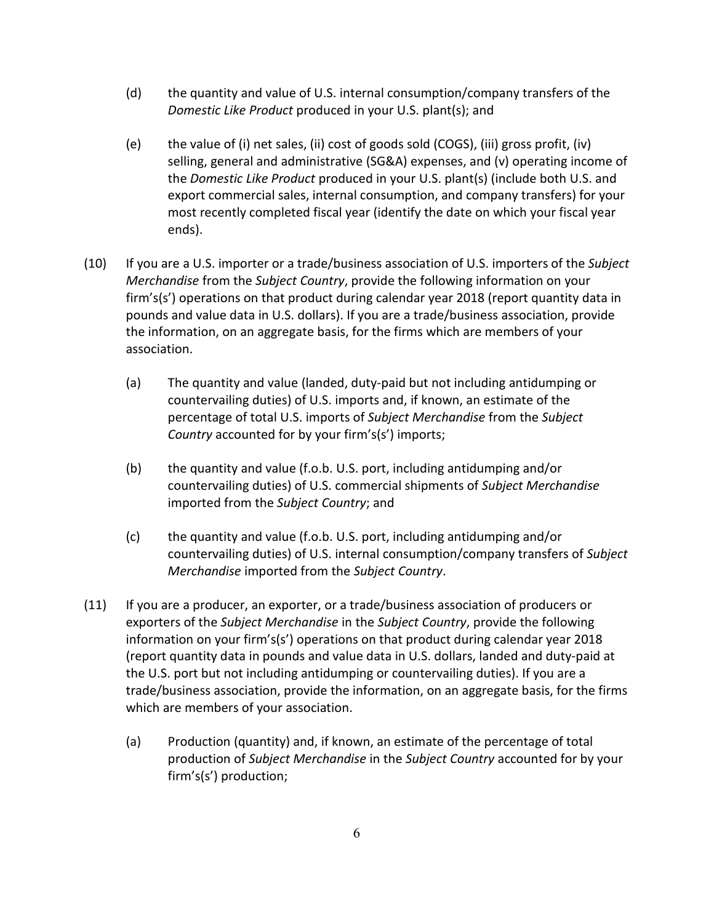- (d) the quantity and value of U.S. internal consumption/company transfers of the *Domestic Like Product* produced in your U.S. plant(s); and
- (e) the value of (i) net sales, (ii) cost of goods sold (COGS), (iii) gross profit, (iv) selling, general and administrative (SG&A) expenses, and (v) operating income of the *Domestic Like Product* produced in your U.S. plant(s) (include both U.S. and export commercial sales, internal consumption, and company transfers) for your most recently completed fiscal year (identify the date on which your fiscal year ends).
- (10) If you are a U.S. importer or a trade/business association of U.S. importers of the *Subject Merchandise* from the *Subject Country*, provide the following information on your firm's(s') operations on that product during calendar year 2018 (report quantity data in pounds and value data in U.S. dollars). If you are a trade/business association, provide the information, on an aggregate basis, for the firms which are members of your association.
	- (a) The quantity and value (landed, duty-paid but not including antidumping or countervailing duties) of U.S. imports and, if known, an estimate of the percentage of total U.S. imports of *Subject Merchandise* from the *Subject Country* accounted for by your firm's(s') imports;
	- (b) the quantity and value (f.o.b. U.S. port, including antidumping and/or countervailing duties) of U.S. commercial shipments of *Subject Merchandise* imported from the *Subject Country*; and
	- (c) the quantity and value (f.o.b. U.S. port, including antidumping and/or countervailing duties) of U.S. internal consumption/company transfers of *Subject Merchandise* imported from the *Subject Country*.
- (11) If you are a producer, an exporter, or a trade/business association of producers or exporters of the *Subject Merchandise* in the *Subject Country*, provide the following information on your firm's(s') operations on that product during calendar year 2018 (report quantity data in pounds and value data in U.S. dollars, landed and duty-paid at the U.S. port but not including antidumping or countervailing duties). If you are a trade/business association, provide the information, on an aggregate basis, for the firms which are members of your association.
	- (a) Production (quantity) and, if known, an estimate of the percentage of total production of *Subject Merchandise* in the *Subject Country* accounted for by your firm's(s') production;